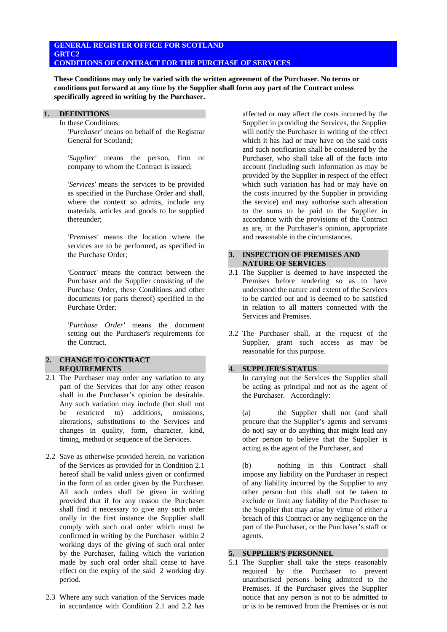## **GENERAL REGISTER OFFICE FOR SCOTLAND GRTC2 CONDITIONS OF CONTRACT FOR THE PURCHASE OF SERVICES**

**These Conditions may only be varied with the written agreement of the Purchaser. No terms or conditions put forward at any time by the Supplier shall form any part of the Contract unless specifically agreed in writing by the Purchaser.**

### **1. DEFINITIONS**

In these Conditions:

 *'Purchaser'* means on behalf of the Registrar General for Scotland;

 *'Supplier'* means the person, firm or company to whom the Contract is issued;

 *'Services'* means the services to be provided as specified in the Purchase Order and shall, where the context so admits, include any materials, articles and goods to be supplied thereunder;

 *'Premises'* means the location where the services are to be performed, as specified in the Purchase Order;

 *'Contract'* means the contract between the Purchaser and the Supplier consisting of the Purchase Order, these Conditions and other documents (or parts thereof) specified in the Purchase Order;

 *'Purchase Order'* means the document setting out the Purchaser's requirements for the Contract.

## **2. CHANGE TO CONTRACT REQUIREMENTS**

- 2.1 The Purchaser may order any variation to any part of the Services that for any other reason shall in the Purchaser's opinion be desirable. Any such variation may include (but shall not be restricted to) additions, omissions, alterations, substitutions to the Services and changes in quality, form, character, kind, timing, method or sequence of the Services.
- 2.2 Save as otherwise provided herein, no variation of the Services as provided for in Condition 2.1 hereof shall be valid unless given or confirmed in the form of an order given by the Purchaser. All such orders shall be given in writing provided that if for any reason the Purchaser shall find it necessary to give any such order orally in the first instance the Supplier shall comply with such oral order which must be confirmed in writing by the Purchaser within 2 working days of the giving of such oral order by the Purchaser, failing which the variation made by such oral order shall cease to have effect on the expiry of the said 2 working day period.
- 2.3 Where any such variation of the Services made in accordance with Condition 2.1 and 2.2 has

affected or may affect the costs incurred by the Supplier in providing the Services, the Supplier will notify the Purchaser in writing of the effect which it has had or may have on the said costs and such notification shall be considered by the Purchaser, who shall take all of the facts into account (including such information as may be provided by the Supplier in respect of the effect which such variation has had or may have on the costs incurred by the Supplier in providing the service) and may authorise such alteration to the sums to be paid to the Supplier in accordance with the provisions of the Contract as are, in the Purchaser's opinion, appropriate and reasonable in the circumstances.

### **3. INSPECTION OF PREMISES AND NATURE OF SERVICES**

- 3.1 The Supplier is deemed to have inspected the Premises before tendering so as to have understood the nature and extent of the Services to be carried out and is deemed to be satisfied in relation to all matters connected with the Services and Premises.
- 3.2 The Purchaser shall, at the request of the Supplier, grant such access as may be reasonable for this purpose.

## 4. **SUPPLIER'S STATUS**

 In carrying out the Services the Supplier shall be acting as principal and not as the agent of the Purchaser. Accordingly:

 (a) the Supplier shall not (and shall procure that the Supplier's agents and servants do not) say or do anything that might lead any other person to believe that the Supplier is acting as the agent of the Purchaser, and

 (b) nothing in this Contract shall impose any liability on the Purchaser in respect of any liability incurred by the Supplier to any other person but this shall not be taken to exclude or limit any liability of the Purchaser to the Supplier that may arise by virtue of either a breach of this Contract or any negligence on the part of the Purchaser, or the Purchaser's staff or agents.

## **5. SUPPLIER'S PERSONNEL**

5.1 The Supplier shall take the steps reasonably required by the Purchaser to prevent unauthorised persons being admitted to the Premises. If the Purchaser gives the Supplier notice that any person is not to be admitted to or is to be removed from the Premises or is not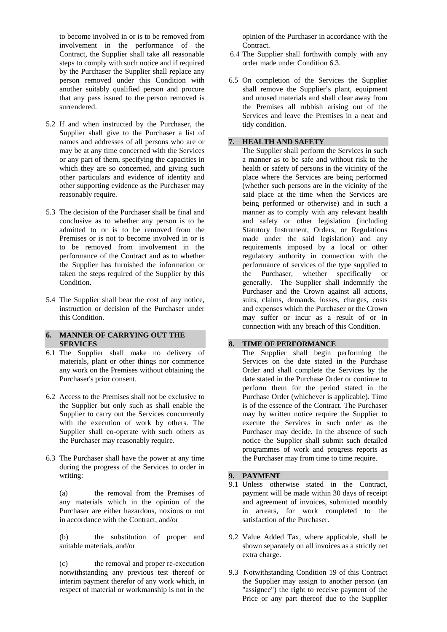to become involved in or is to be removed from involvement in the performance of the Contract, the Supplier shall take all reasonable steps to comply with such notice and if required by the Purchaser the Supplier shall replace any person removed under this Condition with another suitably qualified person and procure that any pass issued to the person removed is surrendered.

- 5.2 If and when instructed by the Purchaser, the Supplier shall give to the Purchaser a list of names and addresses of all persons who are or may be at any time concerned with the Services or any part of them, specifying the capacities in which they are so concerned, and giving such other particulars and evidence of identity and other supporting evidence as the Purchaser may reasonably require.
- 5.3 The decision of the Purchaser shall be final and conclusive as to whether any person is to be admitted to or is to be removed from the Premises or is not to become involved in or is to be removed from involvement in the performance of the Contract and as to whether the Supplier has furnished the information or taken the steps required of the Supplier by this Condition.
- 5.4 The Supplier shall bear the cost of any notice, instruction or decision of the Purchaser under this Condition.

## **6. MANNER OF CARRYING OUT THE SERVICES**

- 6.1 The Supplier shall make no delivery of materials, plant or other things nor commence any work on the Premises without obtaining the Purchaser's prior consent.
- 6.2 Access to the Premises shall not be exclusive to the Supplier but only such as shall enable the Supplier to carry out the Services concurrently with the execution of work by others. The Supplier shall co-operate with such others as the Purchaser may reasonably require.
- 6.3 The Purchaser shall have the power at any time during the progress of the Services to order in writing:

 (a) the removal from the Premises of any materials which in the opinion of the Purchaser are either hazardous, noxious or not in accordance with the Contract, and/or

 (b) the substitution of proper and suitable materials, and/or

 (c) the removal and proper re-execution notwithstanding any previous test thereof or interim payment therefor of any work which, in respect of material or workmanship is not in the

opinion of the Purchaser in accordance with the Contract.

- 6.4 The Supplier shall forthwith comply with any order made under Condition 6.3.
- 6.5 On completion of the Services the Supplier shall remove the Supplier's plant, equipment and unused materials and shall clear away from the Premises all rubbish arising out of the Services and leave the Premises in a neat and tidy condition.

## **7. HEALTH AND SAFETY**

 The Supplier shall perform the Services in such a manner as to be safe and without risk to the health or safety of persons in the vicinity of the place where the Services are being performed (whether such persons are in the vicinity of the said place at the time when the Services are being performed or otherwise) and in such a manner as to comply with any relevant health and safety or other legislation (including Statutory Instrument, Orders, or Regulations made under the said legislation) and any requirements imposed by a local or other regulatory authority in connection with the performance of services of the type supplied to the Purchaser, whether specifically or generally. The Supplier shall indemnify the Purchaser and the Crown against all actions, suits, claims, demands, losses, charges, costs and expenses which the Purchaser or the Crown may suffer or incur as a result of or in connection with any breach of this Condition.

## **8. TIME OF PERFORMANCE**

 The Supplier shall begin performing the Services on the date stated in the Purchase Order and shall complete the Services by the date stated in the Purchase Order or continue to perform them for the period stated in the Purchase Order (whichever is applicable). Time is of the essence of the Contract. The Purchaser may by written notice require the Supplier to execute the Services in such order as the Purchaser may decide. In the absence of such notice the Supplier shall submit such detailed programmes of work and progress reports as the Purchaser may from time to time require.

## **9. PAYMENT**

- 9.1 Unless otherwise stated in the Contract, payment will be made within 30 days of receipt and agreement of invoices, submitted monthly in arrears, for work completed to the satisfaction of the Purchaser.
- 9.2 Value Added Tax, where applicable, shall be shown separately on all invoices as a strictly net extra charge.
- 9.3 Notwithstanding Condition 19 of this Contract the Supplier may assign to another person (an "assignee") the right to receive payment of the Price or any part thereof due to the Supplier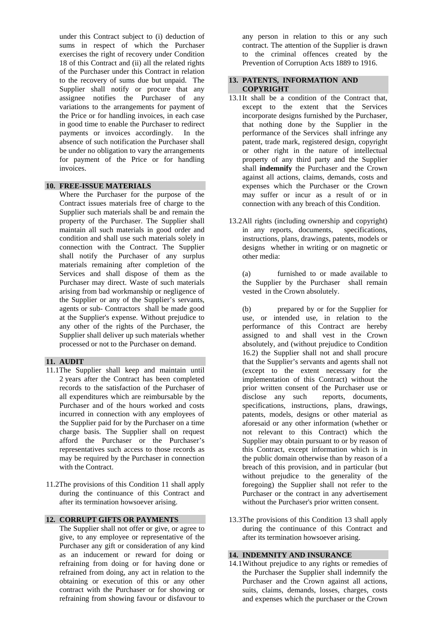under this Contract subject to (i) deduction of sums in respect of which the Purchaser exercises the right of recovery under Condition 18 of this Contract and (ii) all the related rights of the Purchaser under this Contract in relation to the recovery of sums due but unpaid. The Supplier shall notify or procure that any assignee notifies the Purchaser of any variations to the arrangements for payment of the Price or for handling invoices, in each case in good time to enable the Purchaser to redirect payments or invoices accordingly. In the absence of such notification the Purchaser shall be under no obligation to vary the arrangements for payment of the Price or for handling invoices.

## **10. FREE-ISSUE MATERIALS**

 Where the Purchaser for the purpose of the Contract issues materials free of charge to the Supplier such materials shall be and remain the property of the Purchaser. The Supplier shall maintain all such materials in good order and condition and shall use such materials solely in connection with the Contract. The Supplier shall notify the Purchaser of any surplus materials remaining after completion of the Services and shall dispose of them as the Purchaser may direct. Waste of such materials arising from bad workmanship or negligence of the Supplier or any of the Supplier's servants, agents or sub- Contractors shall be made good at the Supplier's expense. Without prejudice to any other of the rights of the Purchaser, the Supplier shall deliver up such materials whether processed or not to the Purchaser on demand.

## **11. AUDIT**

- 11.1The Supplier shall keep and maintain until 2 years after the Contract has been completed records to the satisfaction of the Purchaser of all expenditures which are reimbursable by the Purchaser and of the hours worked and costs incurred in connection with any employees of the Supplier paid for by the Purchaser on a time charge basis. The Supplier shall on request afford the Purchaser or the Purchaser's representatives such access to those records as may be required by the Purchaser in connection with the Contract.
- 11.2The provisions of this Condition 11 shall apply during the continuance of this Contract and after its termination howsoever arising.

## **12. CORRUPT GIFTS OR PAYMENTS**

 The Supplier shall not offer or give, or agree to give, to any employee or representative of the Purchaser any gift or consideration of any kind as an inducement or reward for doing or refraining from doing or for having done or refrained from doing, any act in relation to the obtaining or execution of this or any other contract with the Purchaser or for showing or refraining from showing favour or disfavour to

any person in relation to this or any such contract. The attention of the Supplier is drawn to the criminal offences created by the Prevention of Corruption Acts 1889 to 1916.

#### **13. PATENTS, INFORMATlON AND COPYRIGHT**

- 13.1 It shall be a condition of the Contract that, except to the extent that the Services incorporate designs furnished by the Purchaser, that nothing done by the Supplier in the performance of the Services shall infringe any patent, trade mark, registered design, copyright or other right in the nature of intellectual property of any third party and the Supplier shall **indemnify** the Purchaser and the Crown against all actions, claims, demands, costs and expenses which the Purchaser or the Crown may suffer or incur as a result of or in connection with any breach of this Condition.
- 13.2 All rights (including ownership and copyright) in any reports, documents, specifications, instructions, plans, drawings, patents, models or designs whether in writing or on magnetic or other media:

 (a) furnished to or made available to the Supplier by the Purchaser shall remain vested in the Crown absolutely.

- (b) prepared by or for the Supplier for use, or intended use, in relation to the performance of this Contract are hereby assigned to and shall vest in the Crown absolutely, and (without prejudice to Condition 16.2) the Supplier shall not and shall procure that the Supplier's servants and agents shall not (except to the extent necessary for the implementation of this Contract) without the prior written consent of the Purchaser use or disclose any such reports, documents, specifications, instructions, plans, drawings, patents, models, designs or other material as aforesaid or any other information (whether or not relevant to this Contract) which the Supplier may obtain pursuant to or by reason of this Contract, except information which is in the public domain otherwise than by reason of a breach of this provision, and in particular (but without prejudice to the generality of the foregoing) the Supplier shall not refer to the Purchaser or the contract in any advertisement without the Purchaser's prior written consent.
- 13.3 The provisions of this Condition 13 shall apply during the continuance of this Contract and after its termination howsoever arising.

## **14. INDEMNITY AND INSURANCE**

14.1 Without prejudice to any rights or remedies of the Purchaser the Supplier shall indemnify the Purchaser and the Crown against all actions, suits, claims, demands, losses, charges, costs and expenses which the purchaser or the Crown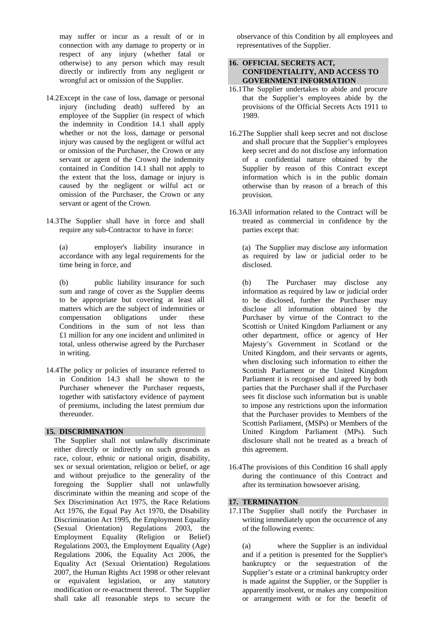may suffer or incur as a result of or in connection with any damage to property or in respect of any injury (whether fatal or otherwise) to any person which may result directly or indirectly from any negligent or wrongful act or omission of the Supplier.

- 14.2 Except in the case of loss, damage or personal injury (including death) suffered by an employee of the Supplier (in respect of which the indemnity in Condition 14.1 shall apply whether or not the loss, damage or personal injury was caused by the negligent or wilful act or omission of the Purchaser, the Crown or any servant or agent of the Crown) the indemnity contained in Condition 14.1 shall not apply to the extent that the loss, damage or injury is caused by the negligent or wilful act or omission of the Purchaser, the Crown or any servant or agent of the Crown.
- 14.3 The Supplier shall have in force and shall require any sub-Contractor to have in force:

 (a) employer's liability insurance in accordance with any legal requirements for the time being in force, and

 (b) public liability insurance for such sum and range of cover as the Supplier deems to be appropriate but covering at least all matters which are the subject of indemnities or compensation obligations under these Conditions in the sum of not less than £1 million for any one incident and unlimited in total, unless otherwise agreed by the Purchaser in writing.

14.4 The policy or policies of insurance referred to in Condition 14.3 shall be shown to the Purchaser whenever the Purchaser requests, together with satisfactory evidence of payment of premiums, including the latest premium due thereunder.

## **15. DISCRlMlNATlON**

The Supplier shall not unlawfully discriminate either directly or indirectly on such grounds as race, colour, ethnic or national origin, disability, sex or sexual orientation, religion or belief, or age and without prejudice to the generality of the foregoing the Supplier shall not unlawfully discriminate within the meaning and scope of the Sex Discrimination Act 1975, the Race Relations Act 1976, the Equal Pay Act 1970, the Disability Discrimination Act 1995, the Employment Equality (Sexual Orientation) Regulations 2003, the Employment Equality (Religion or Belief) Regulations 2003, the Employment Equality (Age) Regulations 2006, the Equality Act 2006, the Equality Act (Sexual Orientation) Regulations 2007, the Human Rights Act 1998 or other relevant or equivalent legislation, or any statutory modification or re-enactment thereof. The Supplier shall take all reasonable steps to secure the

observance of this Condition by all employees and representatives of the Supplier.

## **16. OFFICIAL SECRETS ACT, CONFIDENTIALITY, AND ACCESS TO GOVERNMENT INFORMATION**

- 16.1 The Supplier undertakes to abide and procure that the Supplier's employees abide by the provisions of the Official Secrets Acts 1911 to 1989.
- 16.2 The Supplier shall keep secret and not disclose and shall procure that the Supplier's employees keep secret and do not disclose any information of a confidential nature obtained by the Supplier by reason of this Contract except information which is in the public domain otherwise than by reason of a breach of this provision.
- 16.3 All information related to the Contract will be treated as commercial in confidence by the parties except that:

 (a) The Supplier may disclose any information as required by law or judicial order to be disclosed.

 (b) The Purchaser may disclose any information as required by law or judicial order to be disclosed, further the Purchaser may disclose all information obtained by the Purchaser by virtue of the Contract to the Scottish or United Kingdom Parliament or any other department, office or agency of Her Majesty's Government in Scotland or the United Kingdom, and their servants or agents, when disclosing such information to either the Scottish Parliament or the United Kingdom Parliament it is recognised and agreed by both parties that the Purchaser shall if the Purchaser sees fit disclose such information but is unable to impose any restrictions upon the information that the Purchaser provides to Members of the Scottish Parliament, (MSPs) or Members of the United Kingdom Parliament (MPs). Such disclosure shall not be treated as a breach of this agreement.

16.4 The provisions of this Condition 16 shall apply during the continuance of this Contract and after its termination howsoever arising.

# **17. TERMINATION**

17.1 The Supplier shall notify the Purchaser in writing immediately upon the occurrence of any of the following events:

 (a) where the Supplier is an individual and if a petition is presented for the Supplier's bankruptcy or the sequestration of the Supplier's estate or a criminal bankruptcy order is made against the Supplier, or the Supplier is apparently insolvent, or makes any composition or arrangement with or for the benefit of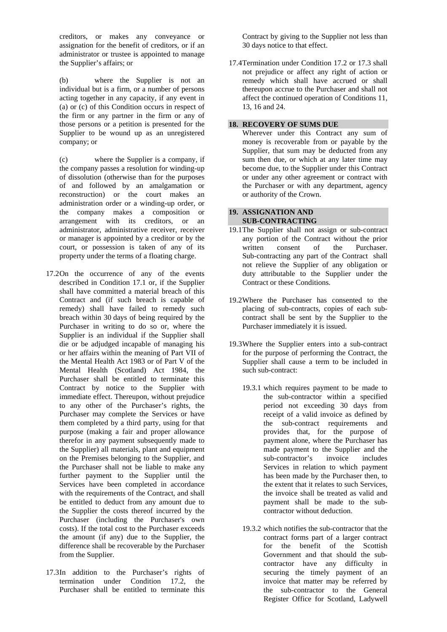creditors, or makes any conveyance or assignation for the benefit of creditors, or if an administrator or trustee is appointed to manage the Supplier's affairs; or

 (b) where the Supplier is not an individual but is a firm, or a number of persons acting together in any capacity, if any event in (a) or (c) of this Condition occurs in respect of the firm or any partner in the firm or any of those persons or a petition is presented for the Supplier to be wound up as an unregistered company; or

 (c) where the Supplier is a company, if the company passes a resolution for winding-up of dissolution (otherwise than for the purposes of and followed by an amalgamation or reconstruction) or the court makes an administration order or a winding-up order, or the company makes a composition or arrangement with its creditors, or an administrator, administrative receiver, receiver or manager is appointed by a creditor or by the court, or possession is taken of any of its property under the terms of a floating charge.

- 17.2 On the occurrence of any of the events described in Condition 17.1 or, if the Supplier shall have committed a material breach of this Contract and (if such breach is capable of remedy) shall have failed to remedy such breach within 30 days of being required by the Purchaser in writing to do so or, where the Supplier is an individual if the Supplier shall die or be adjudged incapable of managing his or her affairs within the meaning of Part VII of the Mental Health Act 1983 or of Part V of the Mental Health (Scotland) Act 1984, the Purchaser shall be entitled to terminate this Contract by notice to the Supplier with immediate effect. Thereupon, without prejudice to any other of the Purchaser's rights, the Purchaser may complete the Services or have them completed by a third party, using for that purpose (making a fair and proper allowance therefor in any payment subsequently made to the Supplier) all materials, plant and equipment on the Premises belonging to the Supplier, and the Purchaser shall not be liable to make any further payment to the Supplier until the Services have been completed in accordance with the requirements of the Contract, and shall be entitled to deduct from any amount due to the Supplier the costs thereof incurred by the Purchaser (including the Purchaser's own costs). If the total cost to the Purchaser exceeds the amount (if any) due to the Supplier, the difference shall be recoverable by the Purchaser from the Supplier.
- 17.3 In addition to the Purchaser's rights of termination under Condition 17.2, the Purchaser shall be entitled to terminate this

Contract by giving to the Supplier not less than 30 days notice to that effect.

17.4 Termination under Condition 17.2 or 17.3 shall not prejudice or affect any right of action or remedy which shall have accrued or shall thereupon accrue to the Purchaser and shall not affect the continued operation of Conditions 11, 13, 16 and 24.

## **18. RECOVERY OF SUMS DUE**

 Wherever under this Contract any sum of money is recoverable from or payable by the Supplier, that sum may be deducted from any sum then due, or which at any later time may become due, to the Supplier under this Contract or under any other agreement or contract with the Purchaser or with any department, agency or authority of the Crown.

#### **19. ASSIGNATION AND SUB-CONTRACTING**

- 19.1 The Supplier shall not assign or sub-contract any portion of the Contract without the prior written consent of the Purchaser. Sub-contracting any part of the Contract shall not relieve the Supplier of any obligation or duty attributable to the Supplier under the Contract or these Conditions.
- 19.2 Where the Purchaser has consented to the placing of sub-contracts, copies of each subcontract shall be sent by the Supplier to the Purchaser immediately it is issued.
- 19.3 Where the Supplier enters into a sub-contract for the purpose of performing the Contract, the Supplier shall cause a term to be included in such sub-contract:
	- 19.3.1 which requires payment to be made to the sub-contractor within a specified period not exceeding 30 days from receipt of a valid invoice as defined by the sub-contract requirements and provides that, for the purpose of payment alone, where the Purchaser has made payment to the Supplier and the sub-contractor's invoice includes Services in relation to which payment has been made by the Purchaser then, to the extent that it relates to such Services, the invoice shall be treated as valid and payment shall be made to the subcontractor without deduction.
	- 19.3.2 which notifies the sub-contractor that the contract forms part of a larger contract for the benefit of the Scottish Government and that should the subcontractor have any difficulty in securing the timely payment of an invoice that matter may be referred by the sub-contractor to the General Register Office for Scotland, Ladywell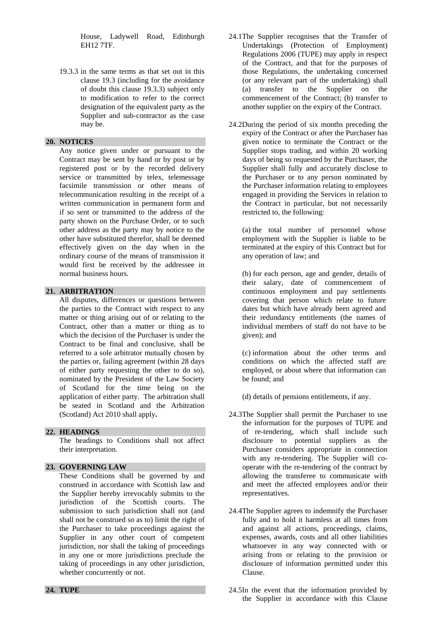House, Ladywell Road, Edinburgh EH12 7TF.

19.3.3 in the same terms as that set out in this clause 19.3 (including for the avoidance of doubt this clause 19.3.3) subject only to modification to refer to the correct designation of the equivalent party as the Supplier and sub-contractor as the case may be.

### **20. NOTICES**

 Any notice given under or pursuant to the Contract may be sent by hand or by post or by registered post or by the recorded delivery service or transmitted by telex, telemessage facsimile transmission or other means of telecommunication resulting in the receipt of a written communication in permanent form and if so sent or transmitted to the address of the party shown on the Purchase Order, or to such other address as the party may by notice to the other have substituted therefor, shall be deemed effectively given on the day when in the ordinary course of the means of transmission it would first be received by the addressee in normal business hours.

# **21. ARBITRATION**

 All disputes, differences or questions between the parties to the Contract with respect to any matter or thing arising out of or relating to the Contract, other than a matter or thing as to which the decision of the Purchaser is under the Contract to be final and conclusive, shall be referred to a sole arbitrator mutually chosen by the parties or, failing agreement (within 28 days of either party requesting the other to do so), nominated by the President of the Law Society of Scotland for the time being on the application of either party. The arbitration shall be seated in Scotland and the Arbitration (Scotland) Act 2010 shall apply**.** 

### **22. HEADINGS**

 The headings to Conditions shall not affect their interpretation.

### **23. GOVERNING LAW**

 These Conditions shall be governed by and construed in accordance with Scottish law and the Supplier hereby irrevocably submits to the jurisdiction of the Scottish courts. The submission to such jurisdiction shall not (and shall not be construed so as to) limit the right of the Purchaser to take proceedings against the Supplier in any other court of competent jurisdiction, nor shall the taking of proceedings in any one or more jurisdictions preclude the taking of proceedings in any other jurisdiction, whether concurrently or not.

#### **24. TUPE**

- 24.1The Supplier recognises that the Transfer of Undertakings (Protection of Employment) Regulations 2006 (TUPE) may apply in respect of the Contract, and that for the purposes of those Regulations, the undertaking concerned (or any relevant part of the undertaking) shall (a) transfer to the Supplier on the commencement of the Contract; (b) transfer to another supplier on the expiry of the Contract.
- 24.2During the period of six months preceding the expiry of the Contract or after the Purchaser has given notice to terminate the Contract or the Supplier stops trading, and within 20 working days of being so requested by the Purchaser, the Supplier shall fully and accurately disclose to the Purchaser or to any person nominated by the Purchaser information relating to employees engaged in providing the Services in relation to the Contract in particular, but not necessarily restricted to, the following:

(a) the total number of personnel whose employment with the Supplier is liable to be terminated at the expiry of this Contract but for any operation of law; and

(b) for each person, age and gender, details of their salary, date of commencement of continuous employment and pay settlements covering that person which relate to future dates but which have already been agreed and their redundancy entitlements (the names of individual members of staff do not have to be given); and

(c) information about the other terms and conditions on which the affected staff are employed, or about where that information can be found; and

(d) details of pensions entitlements, if any.

- 24.3The Supplier shall permit the Purchaser to use the information for the purposes of TUPE and of re-tendering, which shall include such disclosure to potential suppliers as the Purchaser considers appropriate in connection with any re-tendering. The Supplier will cooperate with the re-tendering of the contract by allowing the transferee to communicate with and meet the affected employees and/or their representatives.
- 24.4The Supplier agrees to indemnify the Purchaser fully and to hold it harmless at all times from and against all actions, proceedings, claims, expenses, awards, costs and all other liabilities whatsoever in any way connected with or arising from or relating to the provision or disclosure of information permitted under this Clause.
- 24.5In the event that the information provided by the Supplier in accordance with this Clause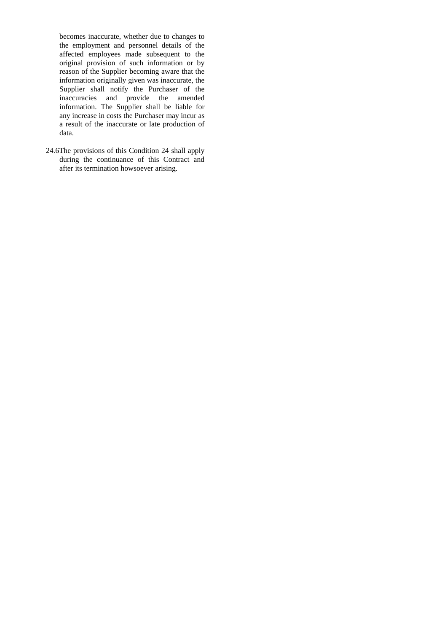becomes inaccurate, whether due to changes to the employment and personnel details of the affected employees made subsequent to the original provision of such information or by reason of the Supplier becoming aware that the information originally given was inaccurate, the Supplier shall notify the Purchaser of the inaccuracies and provide the amended information. The Supplier shall be liable for any increase in costs the Purchaser may incur as a result of the inaccurate or late production of data.

24.6The provisions of this Condition 24 shall apply during the continuance of this Contract and after its termination howsoever arising.